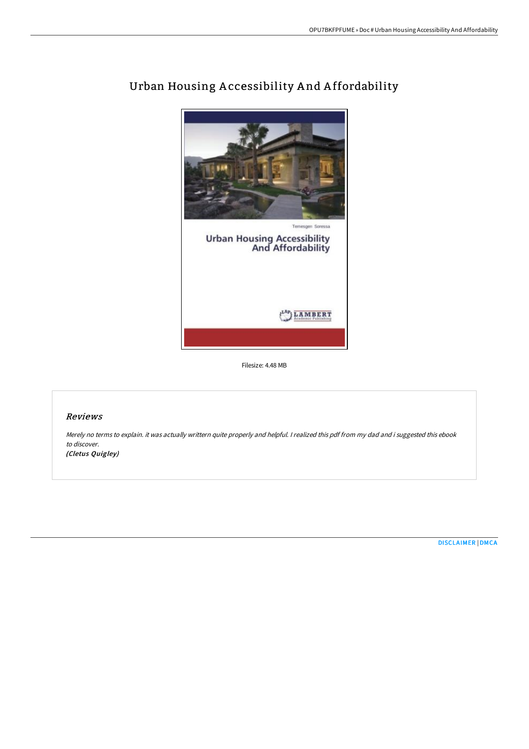

# Urban Housing A ccessibility A nd A ffordability

Filesize: 4.48 MB

## Reviews

Merely no terms to explain. it was actually writtern quite properly and helpful. <sup>I</sup> realized this pdf from my dad and i suggested this ebook to discover.

(Cletus Quigley)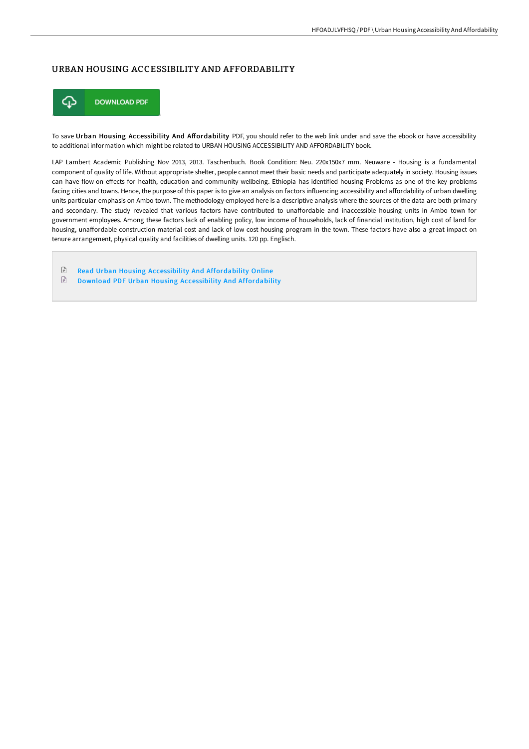### URBAN HOUSING ACCESSIBILITY AND AFFORDABILITY



To save Urban Housing Accessibility And Affordability PDF, you should refer to the web link under and save the ebook or have accessibility to additional information which might be related to URBAN HOUSING ACCESSIBILITY AND AFFORDABILITY book.

LAP Lambert Academic Publishing Nov 2013, 2013. Taschenbuch. Book Condition: Neu. 220x150x7 mm. Neuware - Housing is a fundamental component of quality of life. Without appropriate shelter, people cannot meet their basic needs and participate adequately in society. Housing issues can have flow-on effects for health, education and community wellbeing. Ethiopia has identified housing Problems as one of the key problems facing cities and towns. Hence, the purpose of this paper is to give an analysis on factors influencing accessibility and affordability of urban dwelling units particular emphasis on Ambo town. The methodology employed here is a descriptive analysis where the sources of the data are both primary and secondary. The study revealed that various factors have contributed to unaffordable and inaccessible housing units in Ambo town for government employees. Among these factors lack of enabling policy, low income of households, lack of financial institution, high cost of land for housing, unaffordable construction material cost and lack of low cost housing program in the town. These factors have also a great impact on tenure arrangement, physical quality and facilities of dwelling units. 120 pp. Englisch.

 $\boxed{=}$ Read Urban Housing Accessibility And [Affordability](http://techno-pub.tech/urban-housing-accessibility-and-affordability.html) Online  $\mathbf{r}$ Download PDF Urban Housing Accessibility And [Affordability](http://techno-pub.tech/urban-housing-accessibility-and-affordability.html)